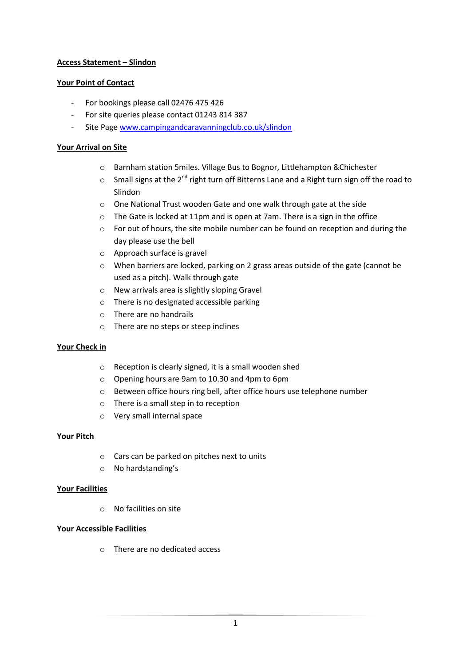# **Access Statement – Slindon**

# **Your Point of Contact**

- For bookings please call 02476 475 426
- For site queries please contact 01243 814 387
- Site Page [www.campingandcaravanningclub.co.uk/slindon](http://www.campingandcaravanningclub.co.uk/slindon)

# **Your Arrival on Site**

- o Barnham station 5miles. Village Bus to Bognor, Littlehampton &Chichester
- $\circ$  Small signs at the 2<sup>nd</sup> right turn off Bitterns Lane and a Right turn sign off the road to Slindon
- o One National Trust wooden Gate and one walk through gate at the side
- o The Gate is locked at 11pm and is open at 7am. There is a sign in the office
- o For out of hours, the site mobile number can be found on reception and during the day please use the bell
- o Approach surface is gravel
- o When barriers are locked, parking on 2 grass areas outside of the gate (cannot be used as a pitch). Walk through gate
- o New arrivals area is slightly sloping Gravel
- o There is no designated accessible parking
- o There are no handrails
- o There are no steps or steep inclines

## **Your Check in**

- o Reception is clearly signed, it is a small wooden shed
- o Opening hours are 9am to 10.30 and 4pm to 6pm
- o Between office hours ring bell, after office hours use telephone number
- o There is a small step in to reception
- o Very small internal space

## **Your Pitch**

- o Cars can be parked on pitches next to units
- o No hardstanding's

## **Your Facilities**

o No facilities on site

## **Your Accessible Facilities**

o There are no dedicated access